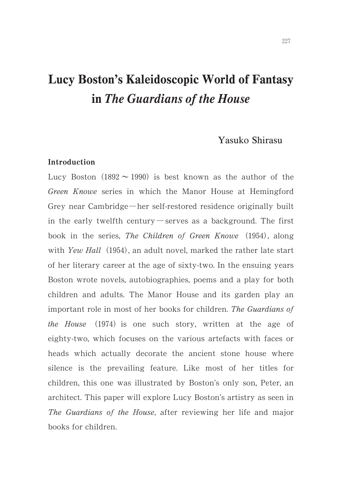# Lucy Boston's Kaleidoscopic World of Fantasy in The Guardians of the House

# Yasuko Shirasu

### Introduction

Lucy Boston (1892  $\sim$  1990) is best known as the author of the Green Knowe series in which the Manor House at Hemingford Grey near Cambridge—her self-restored residence originally built in the early twelfth century exerves as a background. The first book in the series, The Children of Green Knowe (1954), along with Yew Hall (1954), an adult novel, marked the rather late start of her literary career at the age of sixty-two. In the ensuing years Boston wrote novels, autobiographies, poems and a play for both children and adults. The Manor House and its garden play an important role in most of her books for children. The Guardians of the House (1974) is one such story, written at the age of eighty-two, which focuses on the various artefacts with faces or heads which actually decorate the ancient stone house where silence is the prevailing feature. Like most of her titles for children, this one was illustrated by Boston's only son, Peter, an architect. This paper will explore Lucy Boston's artistry as seen in The Guardians of the House, after reviewing her life and major books for children.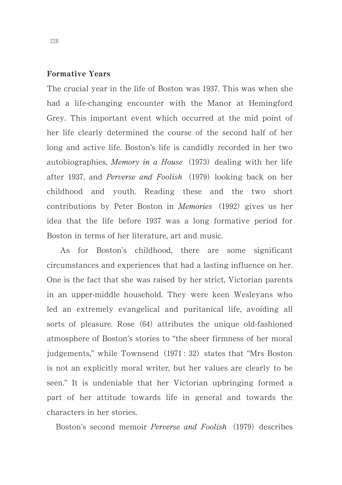# Formative Years

The crucial year in the life of Boston was 1937. This was when she had a life-changing encounter with the Manor at Hemingford Grey. This important event which occurred at the mid point of her life clearly determined the course of the second half of her long and active life. Boston's life is candidly recorded in her two autobiographies, Memory in a House (1973) dealing with her life after 1937, and *Perverse and Foolish* (1979) looking back on her childhood and youth. Reading these and the two short contributions by Peter Boston in *Memories* (1992) gives us her idea that the life before 1937 was a long formative period for Boston in terms of her literature, art and music.

As for Boston's childhood, there are some significant circumstances and experiences that had a lasting influence on her. One is the fact that she was raised by her strict, Victorian parents in an upper-middle household. They were keen Wesleyans who led an extremely evangelical and puritanical life, avoiding all sorts of pleasure. Rose (64) attributes the unique old-fashioned atmosphere of Boston's stories to "the sheer firmness of her moral judgements," while Townsend (1971: 32) states that "Mrs Boston is not an explicitly moral writer, but her values are clearly to be seen." It is undeniable that her Victorian upbringing formed a part of her attitude towards life in general and towards the characters in her stories.

Boston's second memoir Perverse and Foolish (1979) describes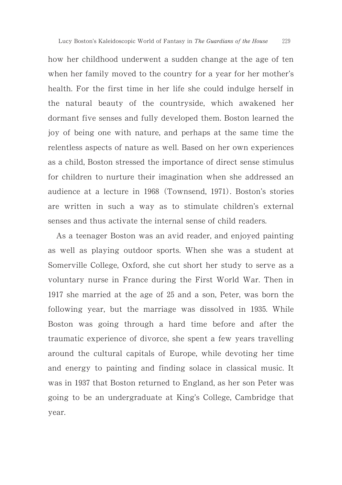how her childhood underwent a sudden change at the age of ten when her family moved to the country for a year for her mother's health. For the first time in her life she could indulge herself in the natural beauty of the countryside, which awakened her dormant five senses and fully developed them. Boston learned the joy of being one with nature, and perhaps at the same time the relentless aspects of nature as well. Based on her own experiences as a child, Boston stressed the importance of direct sense stimulus for children to nurture their imagination when she addressed an audience at a lecture in 1968 (Townsend, 1971). Boston's stories are written in such a way as to stimulate children's external senses and thus activate the internal sense of child readers.

As a teenager Boston was an avid reader, and enjoyed painting as well as playing outdoor sports. When she was a student at Somerville College, Oxford, she cut short her study to serve as a voluntary nurse in France during the First World War. Then in  $1917$  she married at the age of  $25$  and a son, Peter, was born the following year, but the marriage was dissolved in 1935. While Boston was going through a hard time before and after the traumatic experience of divorce, she spent a few years travelling around the cultural capitals of Europe, while devoting her time and energy to painting and finding solace in classical music. It was in 1937 that Boston returned to England, as her son Peter was going to be an undergraduate at King's College, Cambridge that year.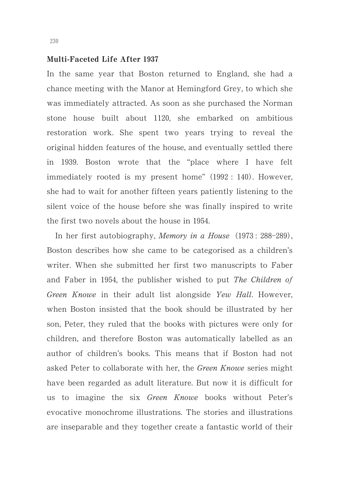### Multi-Faceted Life After 1937

In the same year that Boston returned to England, she had a chance meeting with the Manor at Hemingford Grey, to which she was immediately attracted. As soon as she purchased the Norman stone house built about 1120, she embarked on ambitious restoration work. She spent two years trying to reveal the original hidden features of the house, and eventually settled there in 1939. Boston wrote that the "place where I have felt immediately rooted is my present home" (1992: 140). However, she had to wait for another fifteen years patiently listening to the silent voice of the house before she was finally inspired to write the first two novels about the house in  $1954.$ 

In her first autobiography, Memory in a House (1973: 288-289), Boston describes how she came to be categorised as a children's writer. When she submitted her first two manuscripts to Faber and Faber in 1954, the publisher wished to put The Children of Green Knowe in their adult list alongside Yew Hall. However, when Boston insisted that the book should be illustrated by her son, Peter, they ruled that the books with pictures were only for children, and therefore Boston was automatically labelled as an author of children's books. This means that if Boston had not asked Peter to collaborate with her, the Green Knowe series might have been regarded as adult literature. But now it is difficult for us to imagine the six Green Knowe books without Peter's evocative monochrome illustrations. The stories and illustrations are inseparable and they together create a fantastic world of their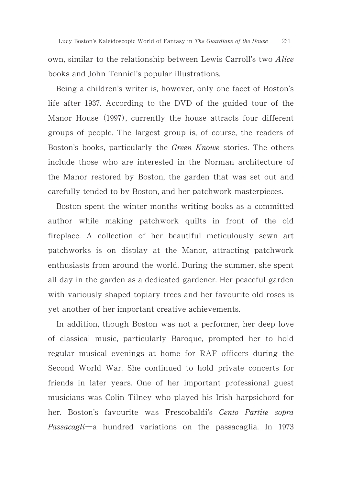own, similar to the relationship between Lewis Carroll's two Alice books and John Tenniel's popular illustrations.

Being a children's writer is, however, only one facet of Boston's life after 1937. According to the DVD of the guided tour of the Manor House (1997), currently the house attracts four different groups of people. The largest group is, of course, the readers of Boston's books, particularly the Green Knowe stories. The others include those who are interested in the Norman architecture of the Manor restored by Boston, the garden that was set out and carefully tended to by Boston, and her patchwork masterpieces.

Boston spent the winter months writing books as a committed author while making patchwork quilts in front of the old fireplace. A collection of her beautiful meticulously sewn art patchworks is on display at the Manor, attracting patchwork enthusiasts from around the world. During the summer, she spent all day in the garden as a dedicated gardener. Her peaceful garden with variously shaped topiary trees and her favourite old roses is yet another of her important creative achievements.

In addition, though Boston was not a performer, her deep love of classical music, particularly Baroque, prompted her to hold regular musical evenings at home for RAF officers during the Second World War. She continued to hold private concerts for friends in later years. One of her important professional guest musicians was Colin Tilney who played his Irish harpsichord for her. Boston's favourite was Frescobaldi's Cento Partite sopra  $Passacagli-a$  hundred variations on the passacaglia. In 1973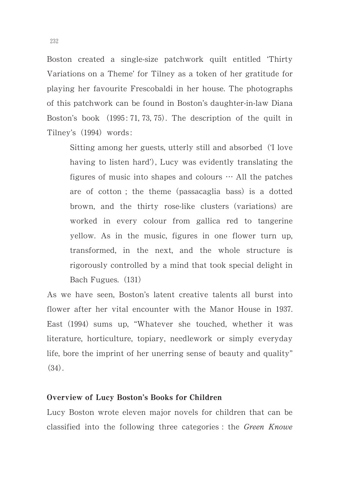Boston created a single-size patchwork quilt entitled 'Thirty Variations on a Theme' for Tilney as a token of her gratitude for playing her favourite Frescobaldi in her house. The photographs of this patchwork can be found in Boston's daughter-in-law Diana Boston's book  $(1995: 71, 73, 75)$ . The description of the quilt in Tilney's (1994) words:

Sitting among her guests, utterly still and absorbed ('I love having to listen hard'), Lucy was evidently translating the figures of music into shapes and colours  $\cdots$  All the patches are of cotton; the theme (passacaglia bass) is a dotted brown, and the thirty rose-like clusters (variations) are worked in every colour from gallica red to tangerine yellow. As in the music, figures in one flower turn up, transformed, in the next, and the whole structure is rigorously controlled by a mind that took special delight in Bach Fugues. (131)

As we have seen, Boston's latent creative talents all burst into flower after her vital encounter with the Manor House in 1937. East (1994) sums up, "Whatever she touched, whether it was literature, horticulture, topiary, needlework or simply everyday life, bore the imprint of her unerring sense of beauty and quality"  $(34).$ 

### Overview of Lucy Boston's Books for Children

Lucy Boston wrote eleven major novels for children that can be classified into the following three categories : the Green Knowe

232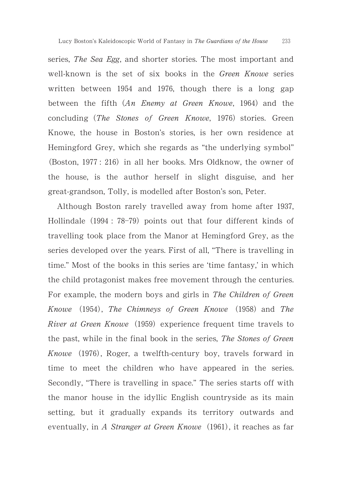series, The Sea Egg, and shorter stories. The most important and well-known is the set of six books in the *Green Knowe* series written between 1954 and 1976, though there is a long gap between the fifth (An Enemy at Green Knowe, 1964) and the concluding (The Stones of Green Knowe, 1976) stories. Green Knowe, the house in Boston's stories, is her own residence at Hemingford Grey, which she regards as "the underlying symbol" (Boston, 1977: 216) in all her books. Mrs Oldknow, the owner of the house, is the author herself in slight disguise, and her great-grandson, Tolly, is modelled after Boston's son, Peter.

Although Boston rarely travelled away from home after 1937, Hollindale (1994: 78-79) points out that four different kinds of travelling took place from the Manor at Hemingford Grey, as the series developed over the years. First of all, "There is travelling in time." Most of the books in this series are 'time fantasy,' in which the child protagonist makes free movement through the centuries. For example, the modern boys and girls in The Children of Green Knowe (1954), The Chimneys of Green Knowe (1958) and The River at Green Knowe (1959) experience frequent time travels to the past, while in the final book in the series, The Stones of Green Knowe (1976), Roger, a twelfth-century boy, travels forward in time to meet the children who have appeared in the series. Secondly, "There is travelling in space." The series starts off with the manor house in the idyllic English countryside as its main setting, but it gradually expands its territory outwards and eventually, in A Stranger at Green Knowe (1961), it reaches as far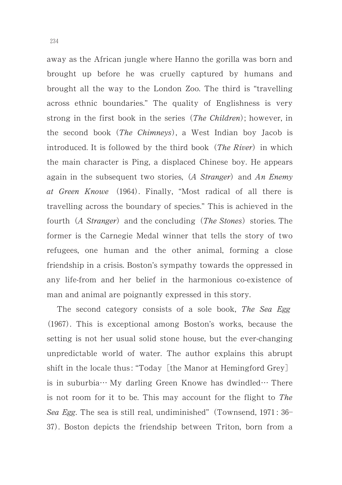away as the African jungle where Hanno the gorilla was born and brought up before he was cruelly captured by humans and brought all the way to the London Zoo. The third is "travelling across ethnic boundaries." The quality of Englishness is very strong in the first book in the series (The Children); however, in the second book (The Chimneys), a West Indian boy Jacob is introduced. It is followed by the third book (The River) in which the main character is Ping, a displaced Chinese boy. He appears again in the subsequent two stories, (A Stranger) and An Enemy at Green Knowe (1964). Finally, "Most radical of all there is travelling across the boundary of species." This is achieved in the fourth (A Stranger) and the concluding (The Stones) stories. The former is the Carnegie Medal winner that tells the story of two refugees, one human and the other animal, forming a close friendship in a crisis. Boston's sympathy towards the oppressed in any life-from and her belief in the harmonious co-existence of man and animal are poignantly expressed in this story.

The second category consists of a sole book, The Sea Egg (1967). This is exceptional among Boston's works, because the setting is not her usual solid stone house, but the ever-changing unpredictable world of water. The author explains this abrupt shift in the locale thus: "Today [the Manor at Hemingford Grey] is in suburbia  $\cdots$  My darling Green Knowe has dwindled  $\cdots$  There is not room for it to be. This may account for the flight to The Sea Egg. The sea is still real, undiminished" (Townsend, 1971: 36-37). Boston depicts the friendship between Triton, born from a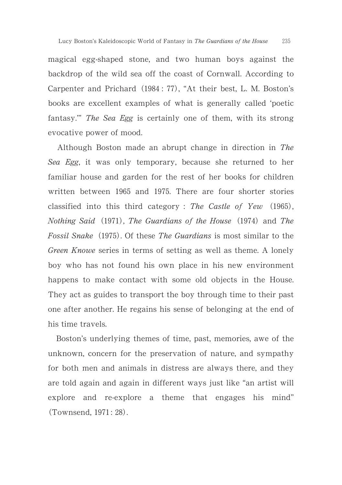magical egg-shaped stone, and two human boys against the backdrop of the wild sea off the coast of Cornwall. According to Carpenter and Prichard (1984: 77), "At their best, L. M. Boston's books are excellent examples of what is generally called 'poetic fantasy." The Sea Egg is certainly one of them, with its strong evocative power of mood.

Although Boston made an abrupt change in direction in The Sea Egg, it was only temporary, because she returned to her familiar house and garden for the rest of her books for children written between 1965 and 1975. There are four shorter stories classified into this third category : The Castle of Yew  $(1965)$ , Nothing Said (1971), The Guardians of the House (1974) and The Fossil Snake (1975). Of these The Guardians is most similar to the Green Knowe series in terms of setting as well as theme. A lonely boy who has not found his own place in his new environment happens to make contact with some old objects in the House. They act as guides to transport the boy through time to their past one after another. He regains his sense of belonging at the end of his time travels.

Boston's underlying themes of time, past, memories, awe of the unknown, concern for the preservation of nature, and sympathy for both men and animals in distress are always there, and they are told again and again in different ways just like "an artist will explore and re-explore a theme that engages his mind" (Townsend, 1971: 28).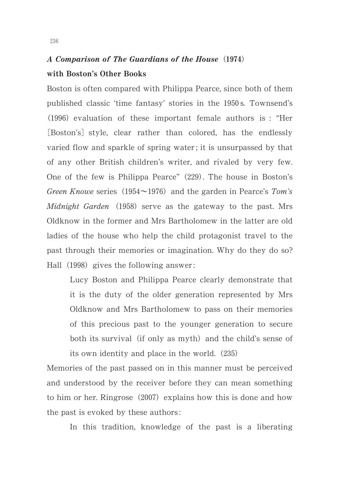# A Comparison of The Guardians of the House (1974) with Boston's Other Books

Boston is often compared with Philippa Pearce, since both of them published classic 'time fantasy' stories in the 1950s. Townsend's (1996) evaluation of these important female authors is : "Her [Boston's] style, clear rather than colored, has the endlessly varied flow and sparkle of spring water ; it is unsurpassed by that of any other British children's writer, and rivaled by very few. One of the few is Philippa Pearce" (229). The house in Boston's Green Knowe series (1954 $\sim$ 1976) and the garden in Pearce's Tom's Midnight Garden (1958) serve as the gateway to the past. Mrs Oldknow in the former and Mrs Bartholomew in the latter are old ladies of the house who help the child protagonist travel to the past through their memories or imagination. Why do they do so? Hall (1998) gives the following answer:

Lucy Boston and Philippa Pearce clearly demonstrate that it is the duty of the older generation represented by Mrs Oldknow and Mrs Bartholomew to pass on their memories of this precious past to the younger generation to secure both its survival (if only as myth) and the child's sense of its own identity and place in the world.  $(235)$ 

Memories of the past passed on in this manner must be perceived and understood by the receiver before they can mean something to him or her. Ringrose (2007) explains how this is done and how the past is evoked by these authors :

In this tradition, knowledge of the past is a liberating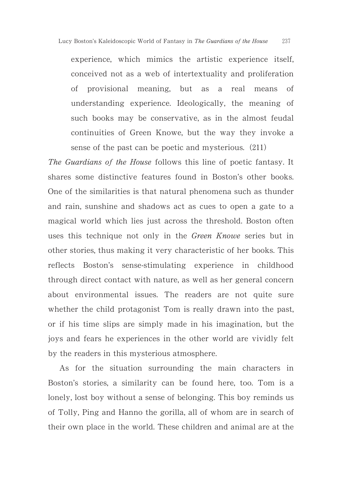experience, which mimics the artistic experience itself, conceived not as a web of intertextuality and proliferation of provisional meaning, but as a real means of understanding experience. Ideologically, the meaning of such books may be conservative, as in the almost feudal continuities of Green Knowe, but the way they invoke a sense of the past can be poetic and mysterious.  $(211)$ 

The Guardians of the House follows this line of poetic fantasy. It shares some distinctive features found in Boston's other books. One of the similarities is that natural phenomena such as thunder and rain, sunshine and shadows act as cues to open a gate to a magical world which lies just across the threshold. Boston often uses this technique not only in the Green Knowe series but in other stories, thus making it very characteristic of her books. This reflects Boston's sense-stimulating experience in childhood through direct contact with nature, as well as her general concern about environmental issues. The readers are not quite sure whether the child protagonist Tom is really drawn into the past, or if his time slips are simply made in his imagination, but the joys and fears he experiences in the other world are vividly felt by the readers in this mysterious atmosphere.

As for the situation surrounding the main characters in Boston's stories, a similarity can be found here, too. Tom is a lonely, lost boy without a sense of belonging. This boy reminds us of Tolly, Ping and Hanno the gorilla, all of whom are in search of their own place in the world. These children and animal are at the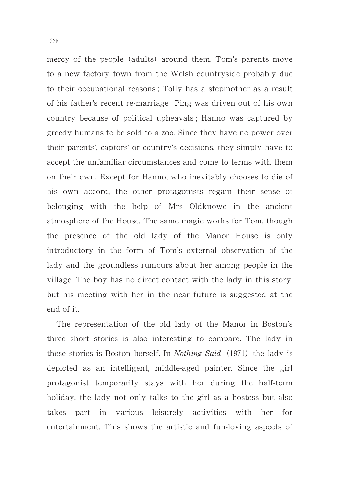mercy of the people (adults) around them. Tom's parents move to a new factory town from the Welsh countryside probably due to their occupational reasons ; Tolly has a stepmother as a result of his father's recent re-marriage ; Ping was driven out of his own country because of political upheavals ; Hanno was captured by greedy humans to be sold to a zoo. Since they have no power over their parents', captors' or country's decisions, they simply have to accept the unfamiliar circumstances and come to terms with them on their own. Except for Hanno, who inevitably chooses to die of his own accord, the other protagonists regain their sense of belonging with the help of Mrs Oldknowe in the ancient atmosphere of the House. The same magic works for Tom, though the presence of the old lady of the Manor House is only introductory in the form of Tom's external observation of the lady and the groundless rumours about her among people in the village. The boy has no direct contact with the lady in this story, but his meeting with her in the near future is suggested at the end of it.

The representation of the old lady of the Manor in Boston's three short stories is also interesting to compare. The lady in these stories is Boston herself. In *Nothing Said* (1971) the lady is depicted as an intelligent, middle-aged painter. Since the girl protagonist temporarily stays with her during the half-term holiday, the lady not only talks to the girl as a hostess but also takes part in various leisurely activities with her for entertainment. This shows the artistic and fun-loving aspects of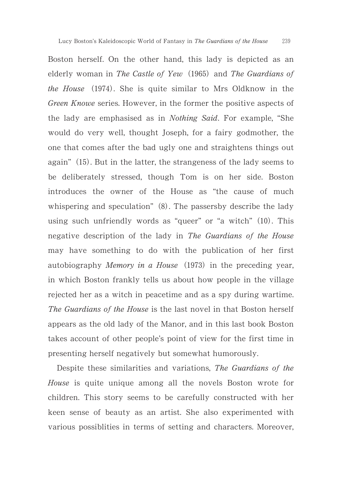Boston herself. On the other hand, this lady is depicted as an elderly woman in The Castle of Yew (1965) and The Guardians of the House (1974). She is quite similar to Mrs Oldknow in the Green Knowe series. However, in the former the positive aspects of the lady are emphasised as in Nothing Said. For example, "She would do very well, thought Joseph, for a fairy godmother, the one that comes after the bad ugly one and straightens things out again" (15). But in the latter, the strangeness of the lady seems to be deliberately stressed, though Tom is on her side. Boston introduces the owner of the House as "the cause of much whispering and speculation"  $(8)$ . The passersby describe the lady using such unfriendly words as "queer" or "a witch" (10). This negative description of the lady in The Guardians of the House may have something to do with the publication of her first autobiography *Memory in a House* (1973) in the preceding year, in which Boston frankly tells us about how people in the village rejected her as a witch in peacetime and as a spy during wartime. The Guardians of the House is the last novel in that Boston herself appears as the old lady of the Manor, and in this last book Boston takes account of other people's point of view for the first time in presenting herself negatively but somewhat humorously.

Despite these similarities and variations, The Guardians of the House is quite unique among all the novels Boston wrote for children. This story seems to be carefully constructed with her keen sense of beauty as an artist. She also experimented with various possiblities in terms of setting and characters. Moreover,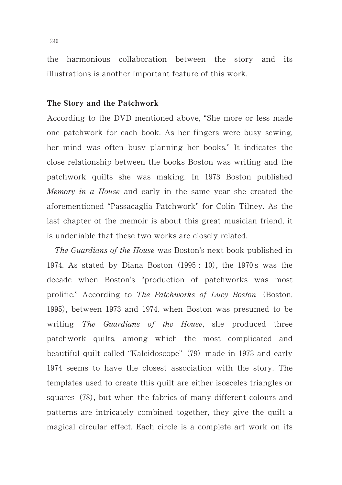the harmonious collaboration between the story and its illustrations is another important feature of this work.

# The Story and the Patchwork

According to the DVD mentioned above, "She more or less made one patchwork for each book. As her fingers were busy sewing, her mind was often busy planning her books." It indicates the close relationship between the books Boston was writing and the patchwork quilts she was making. In 1973 Boston published Memory in a House and early in the same year she created the aforementioned "Passacaglia Patchwork" for Colin Tilney. As the last chapter of the memoir is about this great musician friend, it is undeniable that these two works are closely related.

The Guardians of the House was Boston's next book published in 1974. As stated by Diana Boston  $(1995 : 10)$ , the 1970s was the decade when Boston's "production of patchworks was most prolific." According to The Patchworks of Lucy Boston (Boston, 1995), between 1973 and 1974, when Boston was presumed to be writing *The Guardians of the House*, she produced three patchwork quilts, among which the most complicated and beautiful quilt called "Kaleidoscope" (79) made in 1973 and early 1974 seems to have the closest association with the story. The templates used to create this quilt are either isosceles triangles or squares (78), but when the fabrics of many different colours and patterns are intricately combined together, they give the quilt a magical circular effect. Each circle is a complete art work on its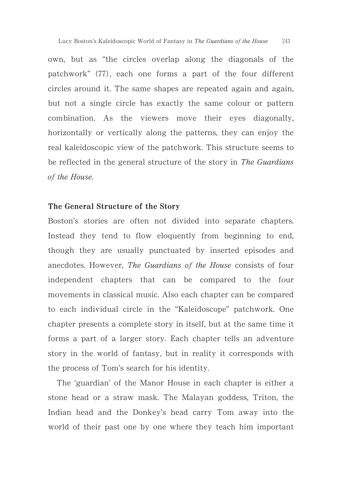own, but as "the circles overlap along the diagonals of the patchwork" (77), each one forms a part of the four different circles around it. The same shapes are repeated again and again, but not a single circle has exactly the same colour or pattern combination. As the viewers move their eyes diagonally, horizontally or vertically along the patterns, they can enjoy the real kaleidoscopic view of the patchwork. This structure seems to be reflected in the general structure of the story in The Guardians of the House.

### The General Structure of the Story

Boston's stories are often not divided into separate chapters. Instead they tend to flow eloquently from beginning to end, though they are usually punctuated by inserted episodes and anecdotes. However, The Guardians of the House consists of four independent chapters that can be compared to the four movements in classical music. Also each chapter can be compared to each individual circle in the "Kaleidoscope" patchwork. One chapter presents a complete story in itself, but at the same time it forms a part of a larger story. Each chapter tells an adventure story in the world of fantasy, but in reality it corresponds with the process of Tom's search for his identity.

The 'guardian' of the Manor House in each chapter is either a stone head or a straw mask. The Malayan goddess, Triton, the Indian head and the Donkey's head carry Tom away into the world of their past one by one where they teach him important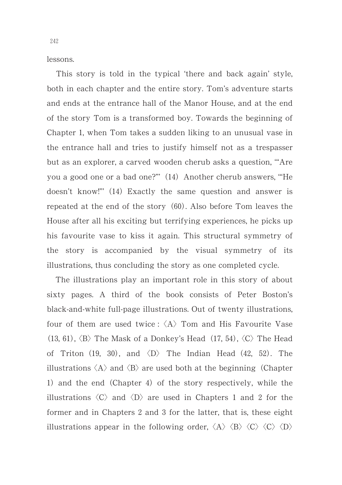lessons.

This story is told in the typical 'there and back again' style, both in each chapter and the entire story. Tom's adventure starts and ends at the entrance hall of the Manor House, and at the end of the story Tom is a transformed boy. Towards the beginning of Chapter 1, when Tom takes a sudden liking to an unusual vase in the entrance hall and tries to justify himself not as a trespasser but as an explorer, a carved wooden cherub asks a question, '"Are you a good one or a bad one?"" (14) Another cherub answers, "He doesn't know!"" (14) Exactly the same question and answer is repeated at the end of the story (60). Also before Tom leaves the House after all his exciting but terrifying experiences, he picks up his favourite vase to kiss it again. This structural symmetry of the story is accompanied by the visual symmetry of its illustrations, thus concluding the story as one completed cycle.

The illustrations play an important role in this story of about sixty pages. A third of the book consists of Peter Boston's black-and-white full-page illustrations. Out of twenty illustrations, four of them are used twice :  $\langle A \rangle$  Tom and His Favourite Vase  $(13, 61)$ ,  $\langle B \rangle$  The Mask of a Donkey's Head  $(17, 54)$ ,  $\langle C \rangle$  The Head of Triton (19, 30), and  $\langle D \rangle$  The Indian Head (42, 52). The illustrations  $\langle A \rangle$  and  $\langle B \rangle$  are used both at the beginning (Chapter 1) and the end (Chapter 4) of the story respectively, while the illustrations  $\langle C \rangle$  and  $\langle D \rangle$  are used in Chapters 1 and 2 for the former and in Chapters 2 and 3 for the latter, that is, these eight illustrations appear in the following order,  $\langle A \rangle$   $\langle B \rangle$   $\langle C \rangle$   $\langle C \rangle$   $\langle D \rangle$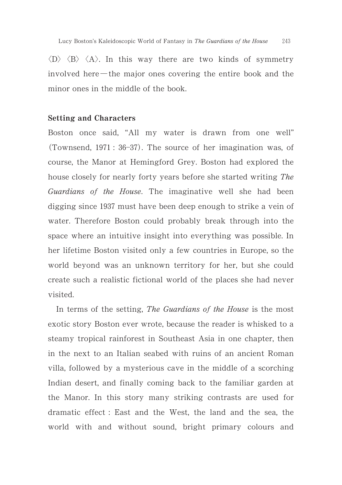$\langle D \rangle$   $\langle B \rangle$   $\langle A \rangle$ . In this way there are two kinds of symmetry involved here-the major ones covering the entire book and the minor ones in the middle of the book.

### Setting and Characters

Boston once said, "All my water is drawn from one well" (Townsend, 1971: 36-37). The source of her imagination was, of course, the Manor at Hemingford Grey. Boston had explored the house closely for nearly forty years before she started writing The Guardians of the House. The imaginative well she had been digging since 1937 must have been deep enough to strike a vein of water. Therefore Boston could probably break through into the space where an intuitive insight into everything was possible. In her lifetime Boston visited only a few countries in Europe, so the world beyond was an unknown territory for her, but she could create such a realistic fictional world of the places she had never visited.

In terms of the setting, The Guardians of the House is the most exotic story Boston ever wrote, because the reader is whisked to a steamy tropical rainforest in Southeast Asia in one chapter, then in the next to an Italian seabed with ruins of an ancient Roman villa, followed by a mysterious cave in the middle of a scorching Indian desert, and finally coming back to the familiar garden at the Manor. In this story many striking contrasts are used for dramatic effect : East and the West, the land and the sea, the world with and without sound, bright primary colours and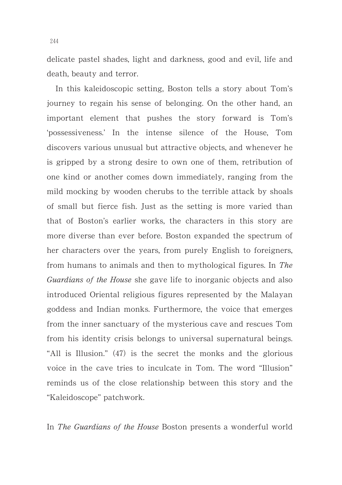delicate pastel shades, light and darkness, good and evil, life and death, beauty and terror.

In this kaleidoscopic setting, Boston tells a story about Tom's journey to regain his sense of belonging. On the other hand, an important element that pushes the story forward is Tom's 'possessiveness.' In the intense silence of the House, Tom discovers various unusual but attractive objects, and whenever he is gripped by a strong desire to own one of them, retribution of one kind or another comes down immediately, ranging from the mild mocking by wooden cherubs to the terrible attack by shoals of small but fierce fish. Just as the setting is more varied than that of Boston's earlier works, the characters in this story are more diverse than ever before. Boston expanded the spectrum of her characters over the years, from purely English to foreigners, from humans to animals and then to mythological figures. In The Guardians of the House she gave life to inorganic objects and also introduced Oriental religious figures represented by the Malayan goddess and Indian monks. Furthermore, the voice that emerges from the inner sanctuary of the mysterious cave and rescues Tom from his identity crisis belongs to universal supernatural beings. "All is Illusion."  $(47)$  is the secret the monks and the glorious voice in the cave tries to inculcate in Tom. The word "Illusion" reminds us of the close relationship between this story and the "Kaleidoscope" patchwork.

In The Guardians of the House Boston presents a wonderful world

244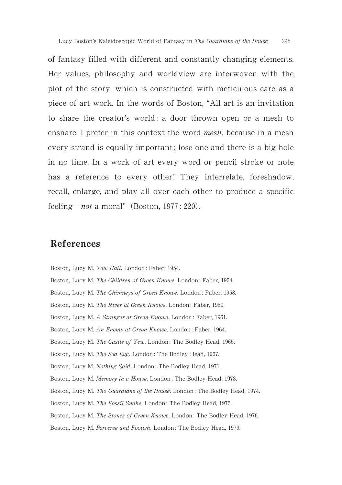of fantasy filled with different and constantly changing elements. Her values, philosophy and worldview are interwoven with the plot of the story, which is constructed with meticulous care as a piece of art work. In the words of Boston, "All art is an invitation to share the creator's world : a door thrown open or a mesh to ensnare. I prefer in this context the word *mesh*, because in a mesh every strand is equally important ; lose one and there is a big hole in no time. In a work of art every word or pencil stroke or note has a reference to every other! They interrelate, foreshadow, recall, enlarge, and play all over each other to produce a specific feeling—*not* a moral" (Boston,  $1977: 220$ ).

## References

Boston, Lucy M. Yew Hall. London: Faber, 1954. Boston, Lucy M. The Children of Green Knowe. London: Faber, 1954. Boston, Lucy M. The Chimneys of Green Knowe. London: Faber, 1958. Boston, Lucy M. The River at Green Knowe. London: Faber, 1959. Boston, Lucy M. A Stranger at Green Knowe. London: Faber, 1961. Boston, Lucy M. An Enemy at Green Knowe, London: Faber, 1964. Boston, Lucy M. The Castle of Yew. London: The Bodley Head, 1965. Boston, Lucy M. The Sea Egg. London: The Bodley Head, 1967. Boston, Lucy M. Nothing Said. London: The Bodley Head, 1971. Boston, Lucy M. Memory in a House, London: The Bodley Head, 1973. Boston, Lucy M. The Guardians of the House, London: The Bodley Head, 1974. Boston, Lucy M. The Fossil Snake. London: The Bodley Head, 1975. Boston, Lucy M. The Stones of Green Knowe. London: The Bodley Head, 1976. Boston, Lucy M. Perverse and Foolish. London: The Bodley Head, 1979.